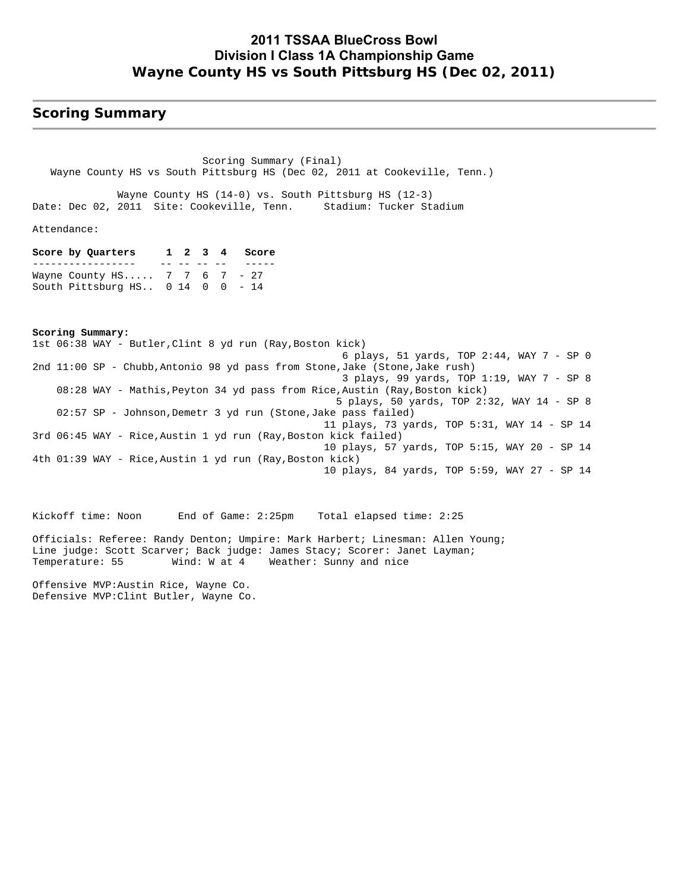## **2011 TSSAA BlueCross Bowl Division I Class 1A Championship Game Wayne County HS vs South Pittsburg HS (Dec 02, 2011)**

## **Scoring Summary**

 Scoring Summary (Final) Wayne County HS vs South Pittsburg HS (Dec 02, 2011 at Cookeville, Tenn.)

 Wayne County HS (14-0) vs. South Pittsburg HS (12-3) Date: Dec 02, 2011 Site: Cookeville, Tenn. Stadium: Tucker Stadium

Attendance:

**Score by Quarters 1 2 3 4 Score** ----------------- -- -- -- -- ----- Wayne County HS..... 7 7 6 7 - 27 South Pittsburg HS.. 0 14 0 0 - 14

**Scoring Summary:** 1st 06:38 WAY - Butler,Clint 8 yd run (Ray,Boston kick) 6 plays, 51 yards, TOP 2:44, WAY 7 - SP 0 2nd 11:00 SP - Chubb,Antonio 98 yd pass from Stone,Jake (Stone,Jake rush) 3 plays, 99 yards, TOP 1:19, WAY 7 - SP 8 08:28 WAY - Mathis,Peyton 34 yd pass from Rice,Austin (Ray,Boston kick) 5 plays, 50 yards, TOP 2:32, WAY 14 - SP 8 02:57 SP - Johnson,Demetr 3 yd run (Stone,Jake pass failed) 11 plays, 73 yards, TOP 5:31, WAY 14 - SP 14 3rd 06:45 WAY - Rice,Austin 1 yd run (Ray,Boston kick failed) 10 plays, 57 yards, TOP 5:15, WAY 20 - SP 14 4th 01:39 WAY - Rice,Austin 1 yd run (Ray,Boston kick) 10 plays, 84 yards, TOP 5:59, WAY 27 - SP 14

Kickoff time: Noon End of Game: 2:25pm Total elapsed time: 2:25 Officials: Referee: Randy Denton; Umpire: Mark Harbert; Linesman: Allen Young; Line judge: Scott Scarver; Back judge: James Stacy; Scorer: Janet Layman;<br>Temperature: 55 Wind: W at 4 Weather: Sunny and nice Wind: W at 4 Weather: Sunny and nice

Offensive MVP:Austin Rice, Wayne Co. Defensive MVP:Clint Butler, Wayne Co.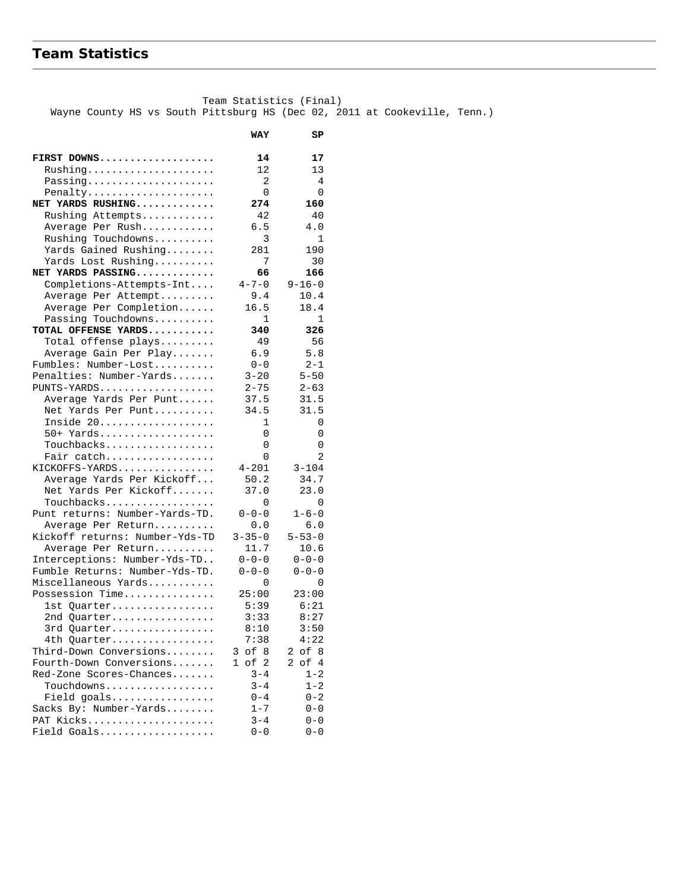# **Team Statistics**

 Team Statistics (Final) Wayne County HS vs South Pittsburg HS (Dec 02, 2011 at Cookeville, Tenn.)

|                                       | WAY                     | SP           |
|---------------------------------------|-------------------------|--------------|
|                                       |                         |              |
| FIRST DOWNS                           | 14                      | 17           |
| $Rushing \ldots \ldots \ldots \ldots$ | 12                      | 13           |
| Passing                               | 2                       | 4            |
| Penalty                               | 0                       | 0            |
| NET YARDS RUSHING                     | 274                     | 160          |
| Rushing Attempts                      | 42                      | 40           |
| Average Per Rush                      | 6.5                     | 4.0          |
| Rushing Touchdowns                    | 3                       | $\mathbf{1}$ |
| Yards Gained Rushing                  | 281                     | 190          |
| Yards Lost Rushing                    | 7                       | 30           |
| NET YARDS PASSING                     | 66                      | 166          |
| Completions-Attempts-Int              | $4 - 7 - 0$             | $9 - 16 - 0$ |
| Average Per Attempt                   | 9.4                     | 10.4         |
| Average Per Completion                | 16.5                    | 18.4         |
| Passing Touchdowns                    | 1                       | 1            |
| TOTAL OFFENSE YARDS                   | 340                     | 326          |
| Total offense plays                   | - 49                    | 56           |
| Average Gain Per Play                 | 6.9                     | 5.8          |
| Fumbles: Number-Lost                  | $0 - 0$                 | $2 - 1$      |
| Penalties: Number-Yards               | $3 - 20$                | $5 - 50$     |
| $PUNTS-YARDS$                         | $2 - 75$                | $2 - 63$     |
| Average Yards Per Punt                | 37.5                    | 31.5         |
| Net Yards Per Punt                    | 34.5                    | 31.5         |
| Inside 20                             | 1                       | 0            |
| 50+ Yards                             | 0                       | 0            |
| Touchbacks                            | 0                       | 0            |
| Fair catch                            | 0                       | 2            |
| KICKOFFS-YARDS                        | $4 - 201$               | $3 - 104$    |
| Average Yards Per Kickoff             | 50.2                    | 34.7         |
| Net Yards Per Kickoff                 | 37.0                    | 23.0         |
| Touchbacks                            | 0                       | 0            |
| Punt returns: Number-Yards-TD.        | $0 - 0 - 0$             | $1 - 6 - 0$  |
| Average Per Return                    | 0.0                     | 6.0          |
| Kickoff returns: Number-Yds-TD        | $3 - 35 - 0$            | $5 - 53 - 0$ |
| Average Per Return                    | 11.7                    | 10.6         |
| Interceptions: Number-Yds-TD          | $0 - 0 - 0$             | $0 - 0 - 0$  |
| Fumble Returns: Number-Yds-TD.        | $0 - 0 - 0$             | $0 - 0 - 0$  |
| Miscellaneous Yards                   | 0                       | 0            |
| Possession Time                       | 25:00                   | 23:00        |
| 1st Quarter                           | 5:39                    | 6:21         |
| 2nd Quarter                           | 3:33                    | 8:27         |
| 3rd Quarter                           | 8:10                    | 3:50         |
| 4th Quarter                           | 7:38                    | 4:22         |
| Third-Down Conversions                | of 8<br>3               | of 8<br>2    |
| Fourth-Down Conversions               | of<br>2<br>$\mathbf{1}$ | of 4<br>2    |
| Red-Zone Scores-Chances               | $3 - 4$                 | $1 - 2$      |
| Touchdowns                            | $3 - 4$                 | $1 - 2$      |
| Field goals                           | $0 - 4$                 | $0 - 2$      |
| Sacks By: Number-Yards                | $1 - 7$                 | $0 - 0$      |
| PAT Kicks                             | $3 - 4$                 | $0 - 0$      |
| Field Goals                           | $0 - 0$                 | $0 - 0$      |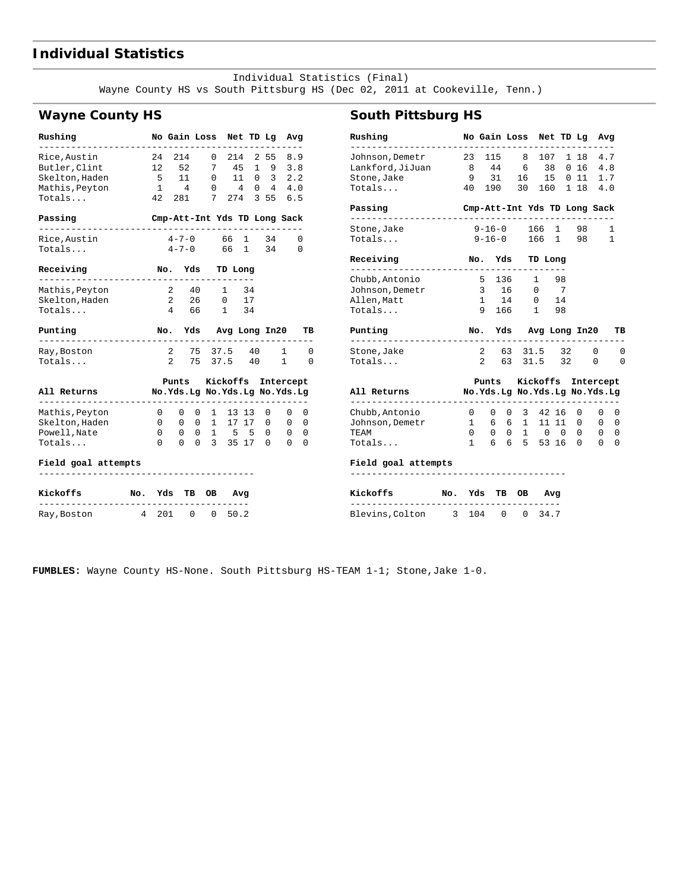## **Individual Statistics**

 Individual Statistics (Final) Wayne County HS vs South Pittsburg HS (Dec 02, 2011 at Cookeville, Tenn.)

## **Wayne County HS**

| Rushing                         |                     | No Gain Loss Net TD Lg            |              |                                |    |   |                               | Avg           |
|---------------------------------|---------------------|-----------------------------------|--------------|--------------------------------|----|---|-------------------------------|---------------|
| Rice,Austin                     |                     | 24 214                            |              | $0\quad 214$                   |    |   | 2558.9                        |               |
| Butler, Clint                   | 12 52               |                                   |              | 7 45                           |    |   | $1 \t9 \t3.8$                 |               |
| Skelton, Haden                  | 5 11                |                                   |              |                                |    |   | $0$ 11 0 3 2.2                |               |
| Mathis, Peyton                  |                     |                                   |              |                                |    |   | 1 4 0 4 0 4 4.0               |               |
| Totals                          |                     | 42 281                            |              |                                |    |   | 7 274 3 55 6.5                |               |
| Passing<br>.                    |                     |                                   |              |                                |    |   | Cmp-Att-Int Yds TD Long Sack  |               |
| Rice, Austin                    | $4 - 7 - 0$ 66 1 34 |                                   |              |                                |    |   |                               | 0             |
| Totals                          |                     |                                   |              |                                |    |   | $4 - 7 - 0$ 66 1 34           | 0             |
| Receiving                       | No. Yds TD Long     |                                   |              |                                |    |   |                               |               |
| Mathis,Peyton                   |                     | 2 40 1                            |              |                                | 34 |   |                               |               |
| Skelton, Haden                  |                     | 2 26 0 17                         |              |                                |    |   |                               |               |
| Totals                          |                     | 4 66 1 34                         |              |                                |    |   |                               |               |
|                                 |                     |                                   |              |                                |    |   |                               |               |
| Punting                         |                     |                                   |              |                                |    |   | No. Yds Avg Long In20         | TВ            |
| ---------<br>Ray,Boston         |                     |                                   |              |                                |    |   | 2 75 37.5 40 1                | 0             |
| Totals                          |                     | $\overline{2}$                    |              | 75 37.5 40                     |    |   | $\mathbf{1}$                  | 0             |
|                                 |                     |                                   |              |                                |    |   | Punts Kickoffs Intercept      |               |
| All Returns                     |                     |                                   |              |                                |    |   | No.Yds.Lg No.Yds.Lg No.Yds.Lg |               |
| $- - - - - -$<br>Mathis, Peyton |                     | 0                                 | $\mathbf{0}$ | 0 1 13 13                      |    | 0 | 0                             | 0             |
| Skelton, Haden                  |                     | 0                                 |              | $0 \t 0 \t 1 \t 17 \t 17 \t 0$ |    |   |                               | $0\quad 0$    |
| Powell, Nate                    |                     | $0 \t 0 \t 0 \t 1 \t 5 \t 5 \t 0$ |              |                                |    |   |                               | $0\quad 0$    |
| Totals                          | $\Omega$            |                                   |              | $0 \t 0 \t 3 \t 35 \t 17 \t 0$ |    |   |                               | $\Omega$<br>0 |
| Field goal attempts             |                     |                                   |              |                                |    |   |                               |               |
| Kickoffs                        | No. Yds TB OB Avg   |                                   |              |                                |    |   |                               |               |

Ray,Boston 4 201 0 0 50.2

## **South Pittsburg HS**

| Rushing                                      |                | No Gain Loss Net TD Lg         |      |         |    |                        | Avg<br>-----       |    |
|----------------------------------------------|----------------|--------------------------------|------|---------|----|------------------------|--------------------|----|
| Johnson,Demetr<br>Lankford,JiJuan            | 8 <sup>8</sup> | 23 115 8 107 1 18 4.7<br>44    | 6 38 |         |    |                        | 0 16 4.8           |    |
| Stone, Jake                                  | 9              | 31                             |      |         |    |                        | 16  15  0  11  1.7 |    |
| Totals                                       |                | 40 190 30 160 1 18 4.0         |      |         |    |                        |                    |    |
| Passing                                      |                | Cmp-Att-Int Yds TD Long Sack   |      |         |    |                        |                    |    |
| Stone, Jake                                  |                | $9-16-0$ 166 1 98              |      |         |    |                        | -1                 |    |
| Totals                                       |                | $9-16-0$ 166 1 98              |      |         |    |                        | 1                  |    |
| Receiving                                    |                | No. Yds<br>------------------- |      | TD Long |    |                        |                    |    |
| Chubb, Antonio                               |                | 5 136 1 98                     |      |         |    |                        |                    |    |
| Johnson, Demetr                              |                | 3 16 0 7                       |      |         |    |                        |                    |    |
| Allen, Matt                                  |                | $1 \t14 \t0$                   |      |         | 14 |                        |                    |    |
| Totals                                       |                | 9 166 1 98                     |      |         |    |                        |                    |    |
| Punting                                      |                | No. Yds Avg Long In20          |      |         |    |                        |                    | тв |
|                                              |                |                                |      |         |    |                        |                    |    |
| Stone, Jake                                  |                | 2 63 31.5 32 0                 |      |         |    |                        |                    | 0  |
| Totals                                       |                | 2 63 31.5 32                   |      |         |    |                        | 0                  | 0  |
|                                              |                | Punts Kickoffs Intercept       |      |         |    |                        |                    |    |
| All Returns<br>No.Yds.Lg No.Yds.Lg No.Yds.Lg |                |                                |      |         |    |                        |                    |    |
| Chubb, Antonio                               |                | 0 0 0 3 42 16                  |      |         |    | -----------------<br>0 | 0                  | 0  |
| Johnson,Demetr                               |                | 1 6 6 1 11 11 0                |      |         |    |                        | $\mathbf{0}$       | 0  |
| TEAM                                         |                | 0 0 0 1 0 0 0                  |      |         |    |                        | $\overline{0}$     | 0  |
| Totals                                       |                | 1 6 6 5 53 16 0 0              |      |         |    |                        |                    | 0  |
| Field goal attempts                          |                |                                |      |         |    |                        |                    |    |
| Kickoffs                                     |                | No. Yds TB OB                  |      | Avg     |    |                        |                    |    |

**FUMBLES:** Wayne County HS-None. South Pittsburg HS-TEAM 1-1; Stone,Jake 1-0.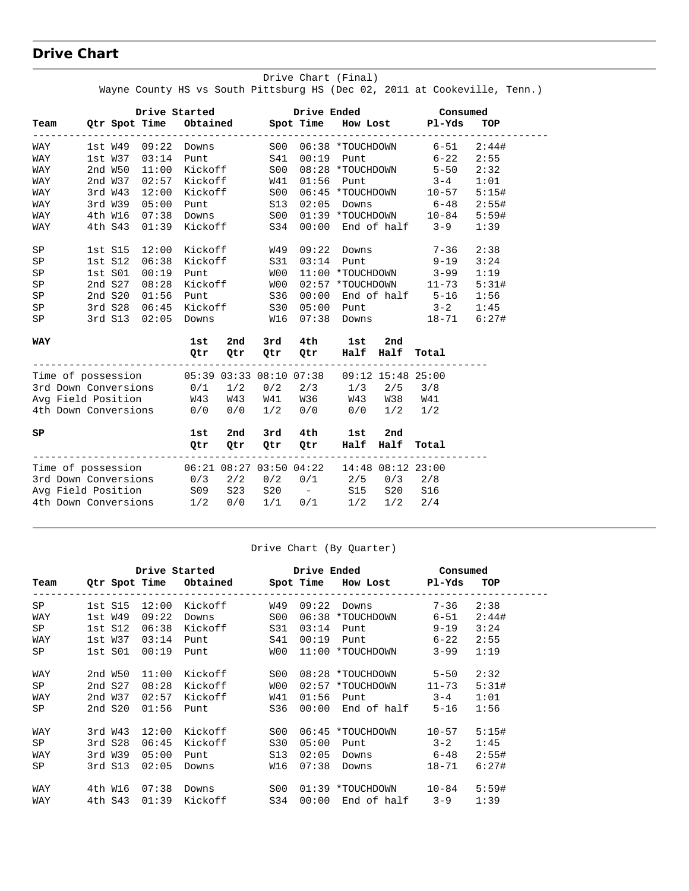# **Drive Chart**

|                                                                                                                  |         |               |                           |          |             |                                   |     |     | Drive Started Drive Ended Consumed                                                                                                                                                            |       |
|------------------------------------------------------------------------------------------------------------------|---------|---------------|---------------------------|----------|-------------|-----------------------------------|-----|-----|-----------------------------------------------------------------------------------------------------------------------------------------------------------------------------------------------|-------|
|                                                                                                                  |         |               |                           |          |             |                                   |     |     | Team Qtr Spot Time Obtained Spot Time How Lost Pl-Yds TOP<br>---------------------                                                                                                            |       |
| WAY                                                                                                              |         |               |                           |          |             |                                   |     |     | 1st W49 09:22 Downs 500 06:38 *TOUCHDOWN 6-51                                                                                                                                                 | 2:44# |
| WAY                                                                                                              |         |               |                           |          |             | 1st W37 03:14 Punt S41 00:19 Punt |     |     | $6 - 22$                                                                                                                                                                                      | 2:55  |
| WAY                                                                                                              |         |               | 2nd W50 11:00 Kickoff S00 |          |             |                                   |     |     |                                                                                                                                                                                               | 2:32  |
| WAY                                                                                                              |         |               |                           |          |             |                                   |     |     | 2nd W37 02:57 Kickoff W41 01:56 Punt 3-4<br>3rd W43 12:00 Kickoff S00 06:45 *TOUCHDOWN 10-57<br>3rd W39 05:00 Punt S13 02:05 Downs 6-48<br>4th M16 07:38 DivisionE S24 00:00 ProJGHDOWN 10-84 | 1:01  |
| WAY                                                                                                              |         | 3rd W43 12:00 |                           |          |             |                                   |     |     |                                                                                                                                                                                               | 5:15# |
| WAY                                                                                                              |         | 3rd W39 05:00 |                           |          |             |                                   |     |     |                                                                                                                                                                                               | 2:55# |
| WAY                                                                                                              |         | 4th W16 07:38 |                           |          |             |                                   |     |     |                                                                                                                                                                                               | 5:59# |
| WAY                                                                                                              |         | 4th S43 01:39 | Kickoff                   |          |             |                                   |     |     | S34 00:00 End of half 3-9                                                                                                                                                                     | 1:39  |
| SP                                                                                                               | 1st S15 |               |                           |          |             | 12:00 Kickoff W49 09:22 Downs     |     |     | $7 - 36$                                                                                                                                                                                      | 2:38  |
| SP                                                                                                               | 1st S12 | 06:38         |                           | Kickoff  |             |                                   |     |     | S31 03:14 Punt 9-19                                                                                                                                                                           | 3:24  |
| SP                                                                                                               | 1st S01 | 00:19         |                           | Punt W00 |             |                                   |     |     | 11:00 *TOUCHDOWN 3-99                                                                                                                                                                         | 1:19  |
| SP                                                                                                               | 2nd S27 | 08:28         |                           |          | Kickoff W00 |                                   |     |     | 02:57 *TOUCHDOWN 11-73                                                                                                                                                                        | 5:31# |
| SP                                                                                                               | 2nd S20 | 01:56         |                           |          | Punt S36    | 00:00                             |     |     | End of half 5-16                                                                                                                                                                              | 1:56  |
| SP                                                                                                               |         | 3rd S28 06:45 |                           |          | Kickoff S30 |                                   |     |     | $05:00$ Punt $3-2$                                                                                                                                                                            | 1:45  |
| SP                                                                                                               |         | 3rd S13 02:05 |                           |          |             |                                   |     |     |                                                                                                                                                                                               |       |
| WAY                                                                                                              |         |               | 1st                       | 2nd      |             | 3rd 4th 1st                       |     | 2nd |                                                                                                                                                                                               |       |
|                                                                                                                  |         |               |                           | Qtr Qtr  |             | Qtr Qtr Half Half                 |     |     | Total                                                                                                                                                                                         |       |
| Time of possession 05:39 03:33 08:10 07:38 09:12 15:48 25:00                                                     |         |               |                           |          |             |                                   |     |     |                                                                                                                                                                                               |       |
|                                                                                                                  |         |               |                           |          |             |                                   |     |     |                                                                                                                                                                                               |       |
| Avg Field Position M43 W43 W41 W36 W43 W38 W41                                                                   |         |               |                           |          |             |                                   |     |     |                                                                                                                                                                                               |       |
|                                                                                                                  |         |               |                           |          |             |                                   |     |     |                                                                                                                                                                                               |       |
| SP                                                                                                               |         |               | 1st                       | 2nd      |             | 3rd 4th                           | 1st | 2nd |                                                                                                                                                                                               |       |
|                                                                                                                  |         |               | Qtr                       | 0tr      |             | Qtr Qtr Half Half                 |     |     | Total                                                                                                                                                                                         |       |
| Time of possession 06:21 08:27 03:50 04:22 14:48 08:12 23:00                                                     |         |               |                           |          |             |                                   |     |     |                                                                                                                                                                                               |       |
|                                                                                                                  |         |               |                           |          |             |                                   |     |     |                                                                                                                                                                                               |       |
| 3rd Down Conversions<br>3rd Down Conversions<br>3rd Down Conversions<br>509 523 520 - 515 520 516<br>316 520 516 |         |               |                           |          |             |                                   |     |     |                                                                                                                                                                                               |       |
| 4th Down Conversions 1/2 0/0 1/1 0/1 1/2 1/2 2/4                                                                 |         |               |                           |          |             |                                   |     |     |                                                                                                                                                                                               |       |
|                                                                                                                  |         |               |                           |          |             |                                   |     |     |                                                                                                                                                                                               |       |

#### Drive Chart (Final) Wayne County HS vs South Pittsburg HS (Dec 02, 2011 at Cookeville, Tenn.)

#### Drive Chart (By Quarter)

|      |         |       |         |                 |       | Drive Started Drive Ended Consumed               |          |       |
|------|---------|-------|---------|-----------------|-------|--------------------------------------------------|----------|-------|
| Team |         |       |         |                 |       | Qtr Spot Time Obtained Spot Time How Lost Pl-Yds |          | TOP   |
| SP   | 1st S15 | 12:00 | Kickoff | W49             | 09:22 | Downs 7-36                                       |          | 2:38  |
| WAY  | 1st W49 | 09:22 | Downs   | S <sub>00</sub> | 06:38 | *TOUCHDOWN 6-51                                  |          | 2:44# |
| SP   | 1st S12 | 06:38 | Kickoff | S31             | 03:14 | <b>Punt</b>                                      | $9 - 19$ | 3:24  |
| WAY  | 1st W37 | 03:14 | Punt    | S41             | 00:19 | Punt 6-22                                        |          | 2:55  |
| SP   | 1st SO1 | 00:19 | Punt    | WO0             |       | 11:00 *TOUCHDOWN                                 | $3 - 99$ | 1:19  |
| WAY  | 2nd W50 | 11:00 | Kickoff | S00             |       | 08:28 *TOUCHDOWN 5-50                            |          | 2:32  |
| SP   | 2nd S27 | 08:28 | Kickoff | WO 0            |       | 02:57 *TOUCHDOWN 11-73                           |          | 5:31# |
| WAY  | 2nd W37 | 02:57 | Kickoff | W41             | 01:56 | Punt 3-4                                         |          | 1:01  |
| SP   | 2nd S20 | 01:56 | Punt    | S36             |       | $00:00$ End of half 5-16                         |          | 1:56  |
| WAY  | 3rd W43 | 12:00 | Kickoff | S00             |       | 06:45 *TOUCHDOWN 10-57                           |          | 5:15# |
| SP   | 3rd S28 | 06:45 | Kickoff | S30             | 05:00 | Punt 3-2                                         |          | 1:45  |
| WAY  | 3rd W39 | 05:00 | Punt    | S13             | 02:05 | Downs 6-48                                       |          | 2:55# |
| SP   | 3rd S13 | 02:05 | Downs   | W16             |       | $07:38$ Downs                                    | 18-71    | 6:27# |
| WAY  | 4th W16 | 07:38 | Downs   | S <sub>00</sub> |       | 01:39 *TOUCHDOWN 10-84                           |          | 5:59# |
| WAY  | 4th S43 | 01:39 | Kickoff | S34             | 00:00 | End of half 3-9                                  |          | 1:39  |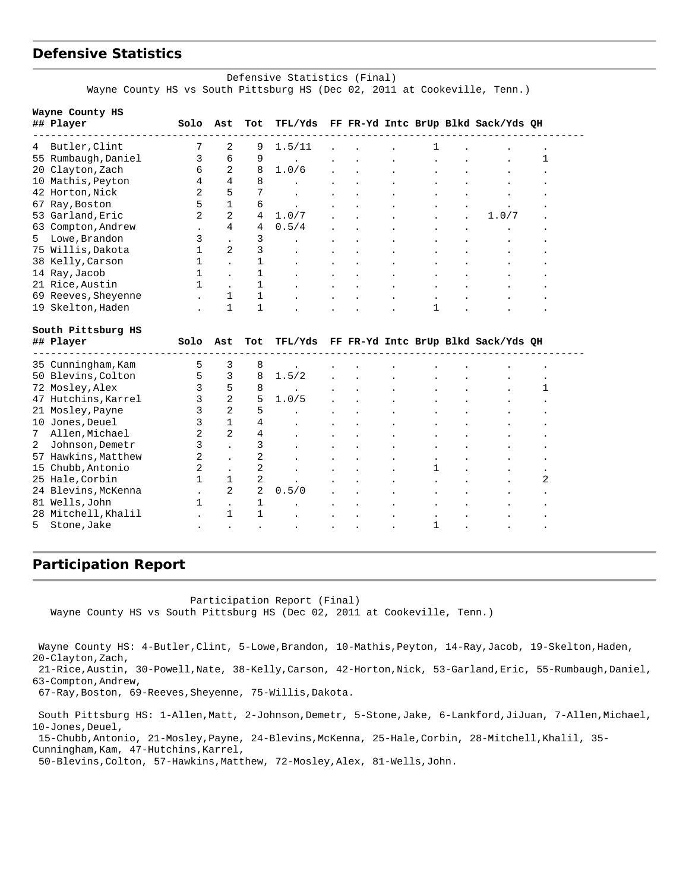## **Defensive Statistics**

#### Defensive Statistics (Final) Wayne County HS vs South Pittsburg HS (Dec 02, 2011 at Cookeville, Tenn.)

|    | Wayne County HS     |              |                |                |         |  |   |                                     |   |
|----|---------------------|--------------|----------------|----------------|---------|--|---|-------------------------------------|---|
|    | ## Player           | Solo         | Ast            | Tot            | TFL/Yds |  |   | FF FR-Yd Intc BrUp Blkd Sack/Yds QH |   |
| 4  | Butler, Clint       | 7            | 2              | 9              | 1.5/11  |  |   |                                     |   |
|    | 55 Rumbaugh, Daniel | 3            | 6              | 9              |         |  |   |                                     | 1 |
| 20 | Clayton, Zach       | 6            | $\overline{a}$ | 8              | 1.0/6   |  |   |                                     |   |
|    | 10 Mathis, Peyton   | 4            | 4              | 8              |         |  |   |                                     |   |
|    | 42 Horton, Nick     | 2            | 5              | 7              |         |  |   |                                     |   |
| 67 | Ray, Boston         | 5            | $\mathbf{1}$   | 6              |         |  |   |                                     |   |
|    | 53 Garland, Eric    | 2            | $\overline{2}$ | 4              | 1.0/7   |  |   | 1.0/7                               |   |
|    | 63 Compton, Andrew  |              | 4              | 4              | 0.5/4   |  |   |                                     |   |
| 5  | Lowe, Brandon       | 3            |                | 3              |         |  |   |                                     |   |
|    | 75 Willis, Dakota   | $\mathbf{1}$ | 2              | 3              |         |  |   |                                     |   |
|    | 38 Kelly, Carson    | 1            |                | 1              |         |  |   |                                     |   |
|    | 14 Ray, Jacob       | $\mathbf{1}$ |                | 1              |         |  |   |                                     |   |
|    | 21 Rice, Austin     | $\mathbf{1}$ |                | 1              |         |  |   |                                     |   |
|    | 69 Reeves, Sheyenne |              | 1              | 1              |         |  |   |                                     |   |
|    | 19 Skelton, Haden   |              | $\mathbf 1$    | $\mathbf{1}$   |         |  | 1 |                                     |   |
|    | South Pittsburg HS  |              |                |                |         |  |   |                                     |   |
|    | ## Player           | Solo         | Ast            | Tot            | TFL/Yds |  |   | FF FR-Yd Intc BrUp Blkd Sack/Yds QH |   |
|    | 35 Cunningham, Kam  | 5            | 3              | 8              |         |  |   |                                     |   |
|    | 50 Blevins, Colton  | 5            | 3              | 8              | 1.5/2   |  |   |                                     |   |
| 72 | Mosley, Alex        | 3            | 5              | 8              |         |  |   |                                     | 1 |
| 47 | Hutchins, Karrel    | 3            | 2              | 5              | 1.0/5   |  |   |                                     |   |
| 21 | Mosley, Payne       | 3            | $\overline{2}$ | 5              |         |  |   |                                     |   |
|    | 10 Jones, Deuel     | 3            | $\mathbf{1}$   | 4              |         |  |   |                                     |   |
| 7  | Allen, Michael      | 2            | $\overline{2}$ | 4              |         |  |   |                                     |   |
| 2  | Johnson, Demetr     | 3            |                | 3              |         |  |   |                                     |   |
| 57 | Hawkins, Matthew    | 2            |                | 2              |         |  |   |                                     |   |
| 15 | Chubb, Antonio      | 2            |                | 2              |         |  | 1 |                                     |   |
|    | 25 Hale, Corbin     | $\mathbf{1}$ | 1              | 2              |         |  |   |                                     | 2 |
|    | 24 Blevins, McKenna |              | 2              | $\overline{2}$ | 0.5/0   |  |   |                                     |   |
|    | 81 Wells, John      | 1            |                | 1              |         |  |   |                                     |   |
|    | 28 Mitchell, Khalil |              | 1              | 1              |         |  |   |                                     |   |
| 5  | Stone, Jake         |              |                |                |         |  | 1 |                                     |   |
|    |                     |              |                |                |         |  |   |                                     |   |

## **Participation Report**

Participation Report (Final)

Wayne County HS vs South Pittsburg HS (Dec 02, 2011 at Cookeville, Tenn.)

Wayne County HS: 4-Butler, Clint, 5-Lowe, Brandon, 10-Mathis, Peyton, 14-Ray, Jacob, 19-Skelton, Haden, 20-Clayton,Zach,

 21-Rice,Austin, 30-Powell,Nate, 38-Kelly,Carson, 42-Horton,Nick, 53-Garland,Eric, 55-Rumbaugh,Daniel, 63-Compton,Andrew,

67-Ray,Boston, 69-Reeves,Sheyenne, 75-Willis,Dakota.

 South Pittsburg HS: 1-Allen,Matt, 2-Johnson,Demetr, 5-Stone,Jake, 6-Lankford,JiJuan, 7-Allen,Michael, 10-Jones,Deuel,

 15-Chubb,Antonio, 21-Mosley,Payne, 24-Blevins,McKenna, 25-Hale,Corbin, 28-Mitchell,Khalil, 35- Cunningham, Kam, 47-Hutchins, Karrel,

50-Blevins,Colton, 57-Hawkins,Matthew, 72-Mosley,Alex, 81-Wells,John.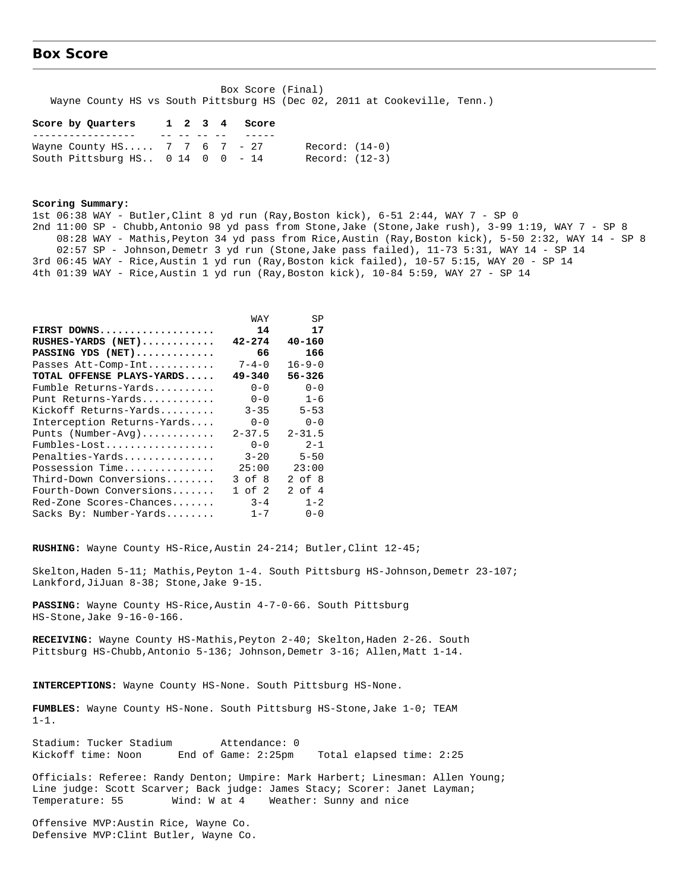## **Box Score**

 Box Score (Final) Wayne County HS vs South Pittsburg HS (Dec 02, 2011 at Cookeville, Tenn.)

#### **Score by Quarters 1 2 3 4 Score**

|                                    |  |  |  | ----- |                |  |
|------------------------------------|--|--|--|-------|----------------|--|
| Wayne County HS 7 7 6 7 - 27       |  |  |  |       | Record: (14-0) |  |
| South Pittsburg HS $0$ 14 0 0 - 14 |  |  |  |       | Record: (12-3) |  |

#### **Scoring Summary:**

1st 06:38 WAY - Butler,Clint 8 yd run (Ray,Boston kick), 6-51 2:44, WAY 7 - SP 0 2nd 11:00 SP - Chubb,Antonio 98 yd pass from Stone,Jake (Stone,Jake rush), 3-99 1:19, WAY 7 - SP 8 08:28 WAY - Mathis,Peyton 34 yd pass from Rice,Austin (Ray,Boston kick), 5-50 2:32, WAY 14 - SP 8 02:57 SP - Johnson,Demetr 3 yd run (Stone,Jake pass failed), 11-73 5:31, WAY 14 - SP 14 3rd 06:45 WAY - Rice,Austin 1 yd run (Ray,Boston kick failed), 10-57 5:15, WAY 20 - SP 14 4th 01:39 WAY - Rice,Austin 1 yd run (Ray,Boston kick), 10-84 5:59, WAY 27 - SP 14

|                            | WAY         | SP           |
|----------------------------|-------------|--------------|
| FIRST DOWNS                | 14          | 17           |
| ${\tt RUSHES-YARDS}$ (NET) | $42 - 274$  | $40 - 160$   |
| PASSING YDS (NET)          | 66          | 166          |
| Passes Att-Comp-Int        | $7 - 4 - 0$ | $16 - 9 - 0$ |
| TOTAL OFFENSE PLAYS-YARDS  | $49 - 340$  | 56-326       |
| Fumble Returns-Yards       | $0 - 0$     | $0 - 0$      |
| Punt Returns-Yards         | $0 - 0$     | $1 - 6$      |
| Kickoff Returns-Yards      | $3 - 35$    | $5 - 53$     |
| Interception Returns-Yards | $0 - 0$     | $0 - 0$      |
| Punts (Number-Avg)         | $2 - 37.5$  | $2 - 31.5$   |
| Fumbles-Lost               | $0 - 0$     | $2 - 1$      |
| Penalties-Yards            | $3 - 20$    | $5 - 50$     |
| Possession Time            | 25:00       | 23:00        |
| Third-Down Conversions     | $3$ of $8$  | 2 of 8       |
| Fourth-Down Conversions    | 1 of 2      | 2 of 4       |
| Red-Zone Scores-Chances    | $3 - 4$     | $1 - 2$      |
| Sacks By: Number-Yards     | $1 - 7$     | $0 - 0$      |

**RUSHING:** Wayne County HS-Rice,Austin 24-214; Butler,Clint 12-45;

Skelton,Haden 5-11; Mathis,Peyton 1-4. South Pittsburg HS-Johnson,Demetr 23-107; Lankford, JiJuan 8-38; Stone, Jake 9-15.

**PASSING:** Wayne County HS-Rice,Austin 4-7-0-66. South Pittsburg HS-Stone,Jake 9-16-0-166.

**RECEIVING:** Wayne County HS-Mathis,Peyton 2-40; Skelton,Haden 2-26. South Pittsburg HS-Chubb,Antonio 5-136; Johnson,Demetr 3-16; Allen,Matt 1-14.

**INTERCEPTIONS:** Wayne County HS-None. South Pittsburg HS-None.

**FUMBLES:** Wayne County HS-None. South Pittsburg HS-Stone,Jake 1-0; TEAM 1-1.

Stadium: Tucker Stadium Attendance: 0 Kickoff time: Noon End of Game: 2:25pm Total elapsed time: 2:25

Officials: Referee: Randy Denton; Umpire: Mark Harbert; Linesman: Allen Young; Line judge: Scott Scarver; Back judge: James Stacy; Scorer: Janet Layman; Temperature: 55 Wind: W at 4 Weather: Sunny and nice

Offensive MVP:Austin Rice, Wayne Co. Defensive MVP:Clint Butler, Wayne Co.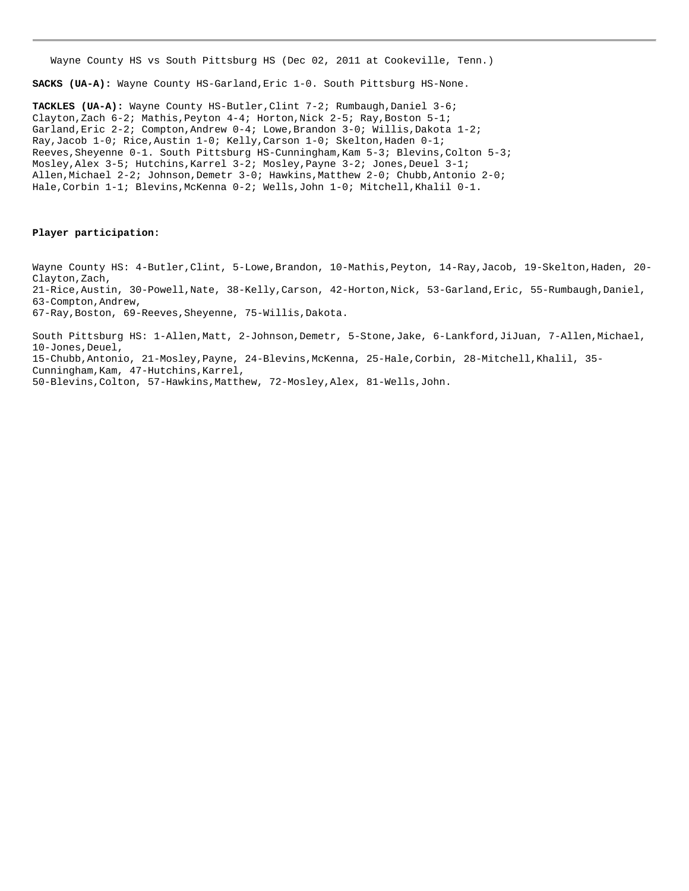Wayne County HS vs South Pittsburg HS (Dec 02, 2011 at Cookeville, Tenn.)

**SACKS (UA-A):** Wayne County HS-Garland,Eric 1-0. South Pittsburg HS-None.

**TACKLES (UA-A):** Wayne County HS-Butler,Clint 7-2; Rumbaugh,Daniel 3-6; Clayton,Zach 6-2; Mathis, Peyton 4-4; Horton, Nick 2-5; Ray, Boston 5-1; Garland, Eric 2-2; Compton, Andrew 0-4; Lowe, Brandon 3-0; Willis, Dakota 1-2; Ray,Jacob 1-0; Rice,Austin 1-0; Kelly,Carson 1-0; Skelton,Haden 0-1; Reeves, Sheyenne 0-1. South Pittsburg HS-Cunningham, Kam 5-3; Blevins, Colton 5-3; Mosley, Alex 3-5; Hutchins, Karrel 3-2; Mosley, Payne 3-2; Jones, Deuel 3-1; Allen,Michael 2-2; Johnson,Demetr 3-0; Hawkins,Matthew 2-0; Chubb,Antonio 2-0; Hale, Corbin 1-1; Blevins, McKenna 0-2; Wells, John 1-0; Mitchell, Khalil 0-1.

#### **Player participation:**

Wayne County HS: 4-Butler, Clint, 5-Lowe, Brandon, 10-Mathis, Peyton, 14-Ray, Jacob, 19-Skelton, Haden, 20-Clayton, Zach, 21-Rice,Austin, 30-Powell,Nate, 38-Kelly,Carson, 42-Horton,Nick, 53-Garland,Eric, 55-Rumbaugh,Daniel, 63-Compton,Andrew, 67-Ray,Boston, 69-Reeves,Sheyenne, 75-Willis,Dakota.

South Pittsburg HS: 1-Allen,Matt, 2-Johnson,Demetr, 5-Stone,Jake, 6-Lankford,JiJuan, 7-Allen,Michael, 10-Jones,Deuel, 15-Chubb,Antonio, 21-Mosley,Payne, 24-Blevins,McKenna, 25-Hale,Corbin, 28-Mitchell,Khalil, 35- Cunningham, Kam, 47-Hutchins, Karrel, 50-Blevins,Colton, 57-Hawkins,Matthew, 72-Mosley,Alex, 81-Wells,John.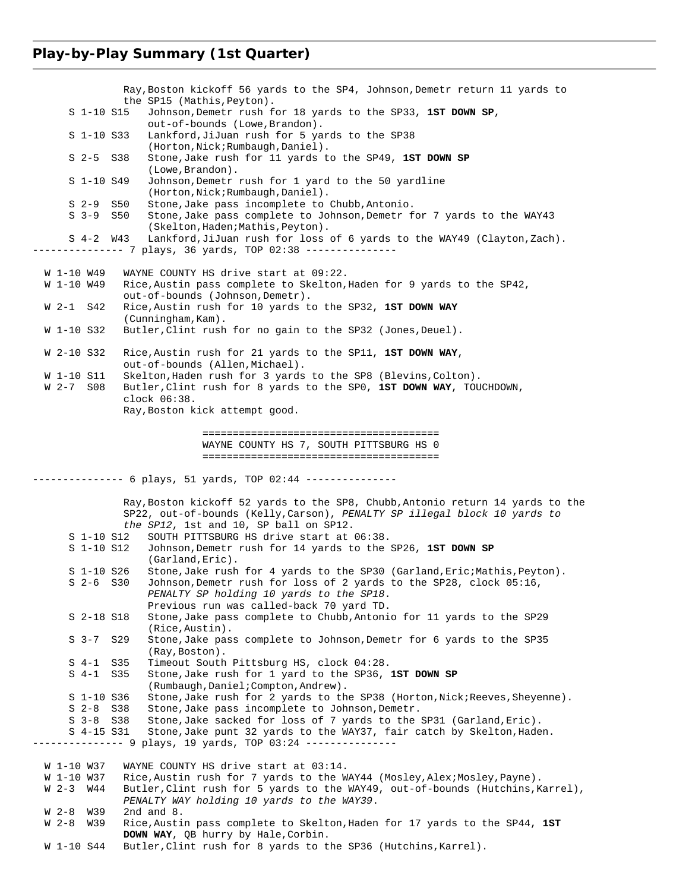# **Play-by-Play Summary (1st Quarter)**

|                               |     | Ray, Boston kickoff 56 yards to the SP4, Johnson, Demetr return 11 yards to                                                           |
|-------------------------------|-----|---------------------------------------------------------------------------------------------------------------------------------------|
|                               |     | the SP15 (Mathis, Peyton).                                                                                                            |
| S 1-10 S15                    |     | Johnson, Demetr rush for 18 yards to the SP33, 1ST DOWN SP,                                                                           |
| $S$ 1-10 $S33$                |     | out-of-bounds (Lowe, Brandon).<br>Lankford, JiJuan rush for 5 yards to the SP38                                                       |
|                               |     | (Horton, Nick; Rumbaugh, Daniel).                                                                                                     |
| $S$ 2-5                       | S38 | Stone, Jake rush for 11 yards to the SP49, 1ST DOWN SP<br>(Lowe, Brandon).                                                            |
| S 1-10 S49                    |     | Johnson, Demetr rush for 1 yard to the 50 yardline<br>(Horton, Nick; Rumbaugh, Daniel).                                               |
| $S2-9$                        | S50 | Stone, Jake pass incomplete to Chubb, Antonio.                                                                                        |
| $S3-9$                        | S50 | Stone, Jake pass complete to Johnson, Demetr for 7 yards to the WAY43<br>(Skelton, Haden; Mathis, Peyton).                            |
| $S$ 4-2 $W$ 43                |     | Lankford, JiJuan rush for loss of 6 yards to the WAY49 (Clayton, Zach).<br>------------- 7 plays, 36 yards, TOP 02:38 --------------- |
| W 1-10 W49                    |     | WAYNE COUNTY HS drive start at 09:22.                                                                                                 |
| W 1-10 W49                    |     | Rice, Austin pass complete to Skelton, Haden for 9 yards to the SP42,                                                                 |
| W 2-1 S42                     |     | out-of-bounds (Johnson, Demetr).<br>Rice, Austin rush for 10 yards to the SP32, 1ST DOWN WAY                                          |
| W 1-10 S32                    |     | (Cunningham, Kam).<br>Butler, Clint rush for no gain to the SP32 (Jones, Deuel).                                                      |
|                               |     |                                                                                                                                       |
| W 2-10 S32                    |     | Rice, Austin rush for 21 yards to the SP11, 1ST DOWN WAY,<br>out-of-bounds (Allen, Michael).                                          |
| W 1-10 S11                    |     | Skelton, Haden rush for 3 yards to the SP8 (Blevins, Colton).                                                                         |
| W 2-7 S08                     |     | Butler, Clint rush for 8 yards to the SP0, 1ST DOWN WAY, TOUCHDOWN,<br>$clock$ $06:38$ .                                              |
|                               |     | Ray, Boston kick attempt good.                                                                                                        |
|                               |     |                                                                                                                                       |
|                               |     |                                                                                                                                       |
|                               |     | WAYNE COUNTY HS 7, SOUTH PITTSBURG HS 0                                                                                               |
|                               |     |                                                                                                                                       |
|                               |     |                                                                                                                                       |
|                               |     | --------- 6 plays, 51 yards, TOP 02:44 ---------------                                                                                |
|                               |     | Ray, Boston kickoff 52 yards to the SP8, Chubb, Antonio return 14 yards to the                                                        |
|                               |     | SP22, out-of-bounds (Kelly, Carson), PENALTY SP illegal block 10 yards to                                                             |
|                               |     | the SP12, 1st and 10, SP ball on SP12.                                                                                                |
| S 1-10 S12                    |     | SOUTH PITTSBURG HS drive start at 06:38.                                                                                              |
| S 1-10 S12                    |     | Johnson, Demetr rush for 14 yards to the SP26, 1ST DOWN SP<br>(Garland, Eric).                                                        |
| S 1-10 S26                    |     | Stone, Jake rush for 4 yards to the SP30 (Garland, Eric; Mathis, Peyton).                                                             |
| $S$ 2-6 $S30$                 |     | Johnson, Demetr rush for loss of 2 yards to the SP28, clock 05:16,                                                                    |
|                               |     | PENALTY SP holding 10 yards to the SP18.<br>Previous run was called-back 70 yard TD.                                                  |
| S 2-18 S18                    |     | Stone, Jake pass complete to Chubb, Antonio for 11 yards to the SP29                                                                  |
| $S3-7$                        | S29 | (Rice, Austin).<br>Stone, Jake pass complete to Johnson, Demetr for 6 yards to the SP35                                               |
|                               |     | (Ray, Boston).                                                                                                                        |
| $S_4-1$                       | S35 | Timeout South Pittsburg HS, clock 04:28.                                                                                              |
| $S_4-1$                       | S35 | Stone, Jake rush for 1 yard to the SP36, 1ST DOWN SP                                                                                  |
| S 1-10 S36                    |     | (Rumbaugh, Daniel; Compton, Andrew).<br>Stone, Jake rush for 2 yards to the SP38 (Horton, Nick; Reeves, Sheyenne).                    |
| $S$ 2-8                       | S38 | Stone, Jake pass incomplete to Johnson, Demetr.                                                                                       |
| $S$ 3-8 $S$ 38                |     | Stone, Jake sacked for loss of 7 yards to the SP31 (Garland, Eric).                                                                   |
| S 4-15 S31                    |     | Stone, Jake punt 32 yards to the WAY37, fair catch by Skelton, Haden.                                                                 |
|                               |     | ---------- 9 plays, 19 yards, TOP 03:24 ---------------                                                                               |
| W 1-10 W37                    |     | WAYNE COUNTY HS drive start at 03:14.                                                                                                 |
| W 1-10 W37                    |     | Rice, Austin rush for 7 yards to the WAY44 (Mosley, Alex; Mosley, Payne).                                                             |
| W 2-3<br>W44                  |     | Butler, Clint rush for 5 yards to the WAY49, out-of-bounds (Hutchins, Karrel),                                                        |
|                               |     | PENALTY WAY holding 10 yards to the WAY39.<br>2nd and $8$ .                                                                           |
| $W2-8$<br>W39<br>W 2-8<br>W39 |     | Rice, Austin pass complete to Skelton, Haden for 17 yards to the SP44, 1ST                                                            |
| W 1-10 S44                    |     | <b>DOWN WAY</b> , QB hurry by Hale, Corbin.<br>Butler, Clint rush for 8 yards to the SP36 (Hutchins, Karrel).                         |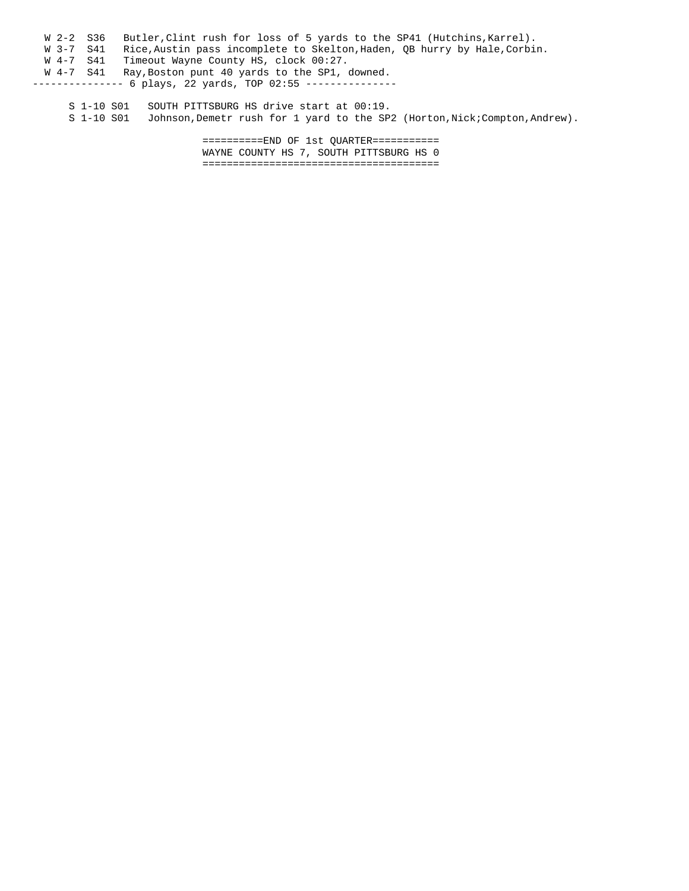W 2-2 S36 Butler, Clint rush for loss of 5 yards to the SP41 (Hutchins, Karrel). W 3-7 S41 Rice, Austin pass incomplete to Skelton, Haden, QB hurry by Hale, Corbin. W 4-7 S41 Timeout Wayne County HS, clock 00:27. W 4-7 S41 Ray,Boston punt 40 yards to the SP1, downed. -------------- 6 plays, 22 yards, TOP 02:55 ---------------

S 1-10 S01 SOUTH PITTSBURG HS drive start at 00:19.<br>S 1-10 S01 Johnson, Demetr rush for 1 yard to the SP Johnson, Demetr rush for 1 yard to the SP2 (Horton, Nick; Compton, Andrew).

> ==========END OF 1st QUARTER=========== WAYNE COUNTY HS 7, SOUTH PITTSBURG HS 0 =======================================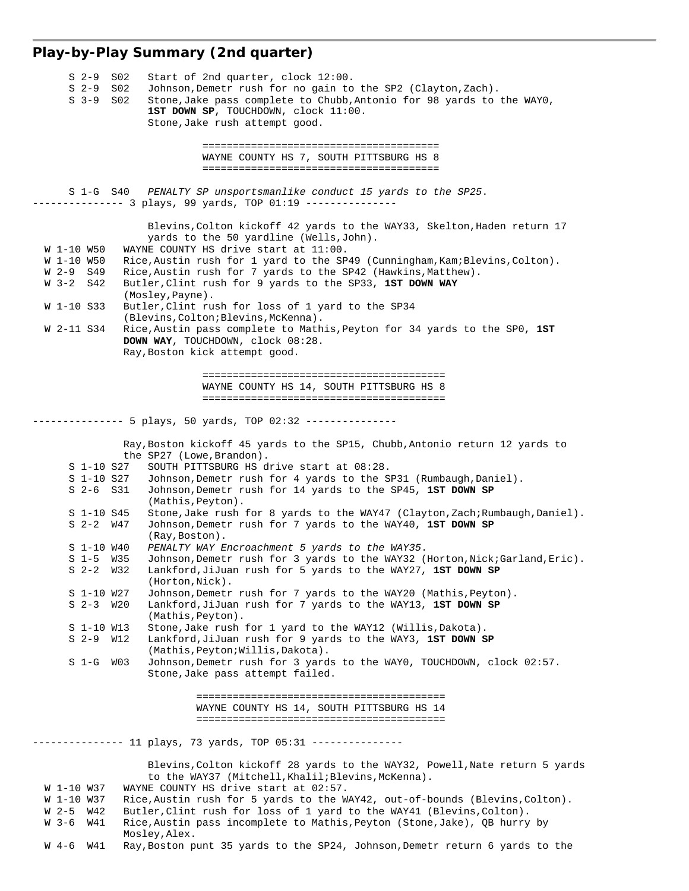# **Play-by-Play Summary (2nd quarter)**

| S 2-9                    | S <sub>02</sub> | Start of 2nd quarter, clock 12:00.                                                                                                            |
|--------------------------|-----------------|-----------------------------------------------------------------------------------------------------------------------------------------------|
| $S2-9$                   | S <sub>02</sub> | Johnson, Demetr rush for no gain to the SP2 (Clayton, Zach).                                                                                  |
| $S3-9$                   | S <sub>02</sub> | Stone, Jake pass complete to Chubb, Antonio for 98 yards to the WAYO,                                                                         |
|                          |                 | 1ST DOWN SP, TOUCHDOWN, clock 11:00.                                                                                                          |
|                          |                 | Stone, Jake rush attempt good.                                                                                                                |
|                          |                 |                                                                                                                                               |
|                          |                 | WAYNE COUNTY HS 7, SOUTH PITTSBURG HS 8                                                                                                       |
|                          |                 |                                                                                                                                               |
|                          |                 |                                                                                                                                               |
| S 1-G S40                |                 | PENALTY SP unsportsmanlike conduct 15 yards to the SP25.                                                                                      |
|                          |                 |                                                                                                                                               |
|                          |                 |                                                                                                                                               |
|                          |                 | Blevins, Colton kickoff 42 yards to the WAY33, Skelton, Haden return 17                                                                       |
|                          |                 | yards to the 50 yardline (Wells, John).                                                                                                       |
| W 1-10 W50               |                 | WAYNE COUNTY HS drive start at 11:00.                                                                                                         |
| W 1-10 W50<br>W 2-9 S49  |                 | Rice, Austin rush for 1 yard to the SP49 (Cunningham, Kam; Blevins, Colton).<br>Rice, Austin rush for 7 yards to the SP42 (Hawkins, Matthew). |
| W 3-2 S42                |                 | Butler, Clint rush for 9 yards to the SP33, 1ST DOWN WAY                                                                                      |
|                          |                 | (Mosley, Payne).                                                                                                                              |
| W 1-10 S33               |                 | Butler, Clint rush for loss of 1 yard to the SP34                                                                                             |
|                          |                 | (Blevins, Colton; Blevins, McKenna).                                                                                                          |
| W 2-11 S34               |                 | Rice, Austin pass complete to Mathis, Peyton for 34 yards to the SPO, 1ST                                                                     |
|                          |                 | DOWN WAY, TOUCHDOWN, clock 08:28.                                                                                                             |
|                          |                 | Ray, Boston kick attempt good.                                                                                                                |
|                          |                 |                                                                                                                                               |
|                          |                 |                                                                                                                                               |
|                          |                 | WAYNE COUNTY HS 14, SOUTH PITTSBURG HS 8                                                                                                      |
|                          |                 |                                                                                                                                               |
|                          |                 | ------- 5 plays, 50 yards, TOP 02:32 ---------------                                                                                          |
|                          |                 |                                                                                                                                               |
|                          |                 | Ray, Boston kickoff 45 yards to the SP15, Chubb, Antonio return 12 yards to                                                                   |
|                          |                 | the SP27 (Lowe, Brandon).                                                                                                                     |
| S 1-10 S27               |                 | SOUTH PITTSBURG HS drive start at 08:28.                                                                                                      |
| S 1-10 S27               |                 | Johnson, Demetr rush for 4 yards to the SP31 (Rumbaugh, Daniel).                                                                              |
| $S$ 2-6 $S31$            |                 | Johnson, Demetr rush for 14 yards to the SP45, 1ST DOWN SP                                                                                    |
|                          |                 | (Mathis, Peyton).                                                                                                                             |
| S 1-10 S45               |                 | Stone, Jake rush for 8 yards to the WAY47 (Clayton, Zach; Rumbaugh, Daniel).                                                                  |
| $S$ 2-2 $W47$            |                 | Johnson, Demetr rush for 7 yards to the WAY40, 1ST DOWN SP<br>(Ray, Boston).                                                                  |
| S 1-10 W40               |                 | PENALTY WAY Encroachment 5 yards to the WAY35.                                                                                                |
| S 1-5 W35                |                 | Johnson, Demetr rush for 3 yards to the WAY32 (Horton, Nick; Garland, Eric).                                                                  |
| $S$ 2-2 $W32$            |                 | Lankford, JiJuan rush for 5 yards to the WAY27, 1ST DOWN SP                                                                                   |
|                          |                 | (Horton, Nick).                                                                                                                               |
| S 1-10 W27               |                 | Johnson, Demetr rush for 7 yards to the WAY20 (Mathis, Peyton).                                                                               |
| $S$ 2-3 $W20$            |                 | Lankford, JiJuan rush for 7 yards to the WAY13, 1ST DOWN SP                                                                                   |
|                          |                 | (Mathis, Peyton).                                                                                                                             |
| S 1-10 W13               |                 | Stone, Jake rush for 1 yard to the WAY12 (Willis, Dakota).                                                                                    |
| S 2-9 W12                |                 | Lankford, JiJuan rush for 9 yards to the WAY3, 1ST DOWN SP                                                                                    |
|                          |                 | (Mathis, Peyton; Willis, Dakota).                                                                                                             |
| $S1-G$                   | WO3             | Johnson, Demetr rush for 3 yards to the WAYO, TOUCHDOWN, clock 02:57.<br>Stone, Jake pass attempt failed.                                     |
|                          |                 |                                                                                                                                               |
|                          |                 |                                                                                                                                               |
|                          |                 | WAYNE COUNTY HS 14, SOUTH PITTSBURG HS 14                                                                                                     |
|                          |                 |                                                                                                                                               |
|                          |                 |                                                                                                                                               |
|                          |                 | ------------- 11 plays, 73 yards, TOP 05:31 ---------------                                                                                   |
|                          |                 |                                                                                                                                               |
|                          |                 | Blevins, Colton kickoff 28 yards to the WAY32, Powell, Nate return 5 yards                                                                    |
|                          |                 | to the WAY37 (Mitchell, Khalil; Blevins, McKenna).<br>WAYNE COUNTY HS drive start at 02:57.                                                   |
| W 1-10 W37<br>W 1-10 W37 |                 | Rice, Austin rush for 5 yards to the WAY42, out-of-bounds (Blevins, Colton).                                                                  |
| $W2-5$<br>W42            |                 | Butler, Clint rush for loss of 1 yard to the WAY41 (Blevins, Colton).                                                                         |
| $W_3-6$<br>W41           |                 | Rice, Austin pass incomplete to Mathis, Peyton (Stone, Jake), QB hurry by                                                                     |
|                          |                 | Mosley, Alex.                                                                                                                                 |
| W41<br>W 4-6             |                 | Ray, Boston punt 35 yards to the SP24, Johnson, Demetr return 6 yards to the                                                                  |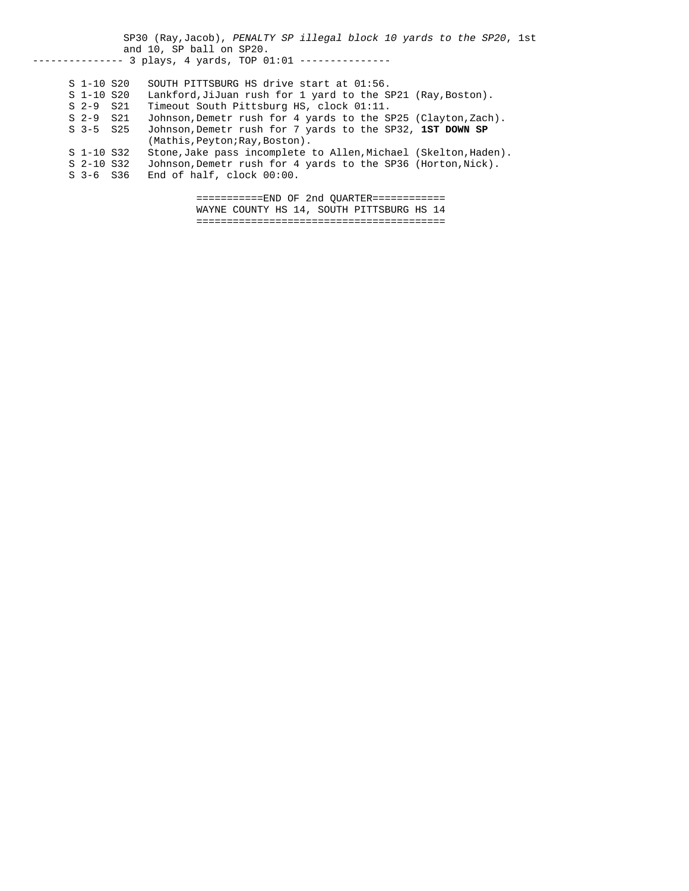SP30 (Ray,Jacob), *PENALTY SP illegal block 10 yards to the SP20*, 1st and 10, SP ball on SP20. -------------- 3 plays, 4 yards, TOP 01:01 --------------- S 1-10 S20 SOUTH PITTSBURG HS drive start at 01:56. Lankford,JiJuan rush for 1 yard to the SP21 (Ray,Boston). S 2-9 S21 Timeout South Pittsburg HS, clock 01:11.<br>S 2-9 S21 Johnson, Demetr rush for 4 yards to the S S 2-9 S21 Johnson, Demetr rush for 4 yards to the SP25 (Clayton, Zach).<br>S 3-5 S25 Johnson, Demetr rush for 7 yards to the SP32, 1ST DOWN SP Johnson, Demetr rush for 7 yards to the SP32, 1ST DOWN SP (Mathis, Peyton; Ray, Boston).<br>S 1-10 S32 Stone, Jake pass incomplete S 1-10 S32 Stone,Jake pass incomplete to Allen,Michael (Skelton,Haden).<br>S 2-10 S32 Johnson,Demetr rush for 4 yards to the SP36 (Horton,Nick). Johnson, Demetr rush for 4 yards to the SP36 (Horton, Nick). S 3-6 S36 End of half, clock 00:00. ===========END OF 2nd QUARTER============ WAYNE COUNTY HS 14, SOUTH PITTSBURG HS 14

=========================================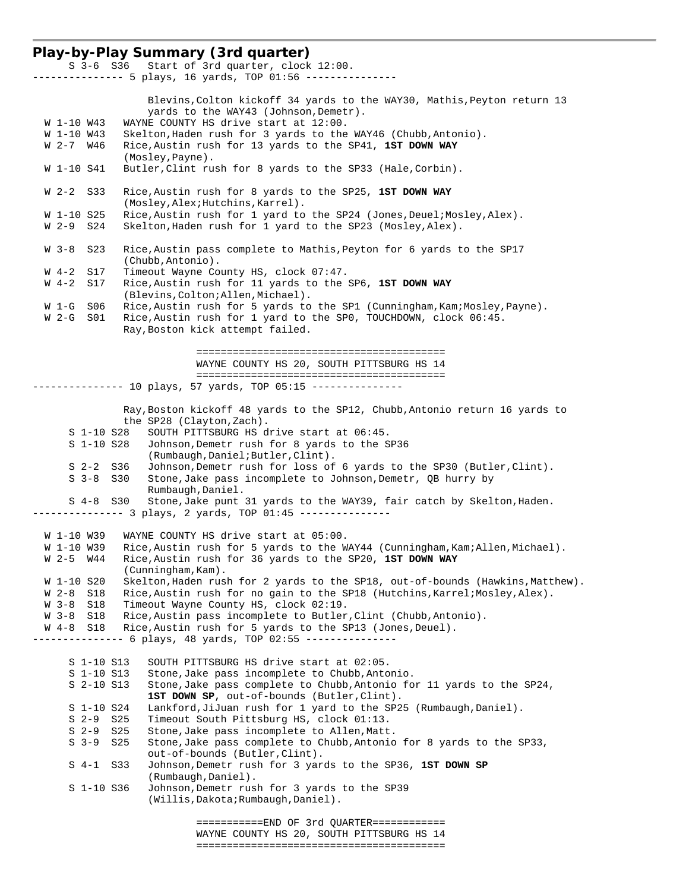### **Play-by-Play Summary (3rd quarter)**

 S 3-6 S36 Start of 3rd quarter, clock 12:00. --------------- 5 plays, 16 yards, TOP 01:56 --------------- Blevins,Colton kickoff 34 yards to the WAY30, Mathis,Peyton return 13 yards to the WAY43 (Johnson,Demetr). W 1-10 W43 WAYNE COUNTY HS drive start at 12:00. W 1-10 W43 Skelton, Haden rush for 3 yards to the WAY46 (Chubb, Antonio). W 2-7 W46 Rice,Austin rush for 13 yards to the SP41, **1ST DOWN WAY** (Mosley,Payne). W 1-10 S41 Butler,Clint rush for 8 yards to the SP33 (Hale,Corbin). W 2-2 S33 Rice,Austin rush for 8 yards to the SP25, **1ST DOWN WAY** (Mosley, Alex; Hutchins, Karrel).<br>W 1-10 S25 Rice. Austin rush for 1 vard to Rice, Austin rush for 1 yard to the SP24 (Jones, Deuel; Mosley, Alex). W 2-9 S24 Skelton,Haden rush for 1 yard to the SP23 (Mosley,Alex). W 3-8 S23 Rice, Austin pass complete to Mathis, Peyton for 6 yards to the SP17 .(Chubb,Antonio)<br>W 4-2 S17 Timeout Wayne Co W 4-2 S17 Timeout Wayne County HS, clock 07:47.<br>W 4-2 S17 Rice, Austin rush for 11 yards to the Rice,Austin rush for 11 yards to the SP6, 1ST DOWN WAY (Blevins,Colton;Allen,Michael). W 1-G S06 Rice, Austin rush for 5 yards to the SP1 (Cunningham, Kam; Mosley, Payne). W 2-G S01 Rice,Austin rush for 1 yard to the SP0, TOUCHDOWN, clock 06:45. Ray,Boston kick attempt failed. ========================================= WAYNE COUNTY HS 20, SOUTH PITTSBURG HS 14 ========================================= -------------- 10 plays, 57 yards, TOP 05:15 --------------- Ray,Boston kickoff 48 yards to the SP12, Chubb,Antonio return 16 yards to the SP28 (Clayton, Zach). S 1-10 S28 SOUTH PITTSBURG HS drive start at 06:45. S 1-10 S28 Johnson,Demetr rush for 8 yards to the SP36 (Rumbaugh,Daniel;Butler,Clint). S 2-2 S36 Johnson,Demetr rush for loss of 6 yards to the SP30 (Butler,Clint). S 3-8 S30 Stone,Jake pass incomplete to Johnson,Demetr, QB hurry by Rumbaugh,Daniel. S 4-8 S30 Stone,Jake punt 31 yards to the WAY39, fair catch by Skelton,Haden. -------------- 3 plays, 2 yards, TOP 01:45 --------------- W 1-10 W39 WAYNE COUNTY HS drive start at 05:00. W 1-10 W39 Rice, Austin rush for 5 yards to the WAY44 (Cunningham, Kam; Allen, Michael). W 2-5 W44 Rice,Austin rush for 36 yards to the SP20, **1ST DOWN WAY** (Cunningham, Kam).<br>W 1-10 S20 Skelton, Haden rus Skelton, Haden rush for 2 yards to the SP18, out-of-bounds (Hawkins, Matthew). W 2-8 S18 Rice, Austin rush for no gain to the SP18 (Hutchins, Karrel; Mosley, Alex).<br>W 3-8 S18 Timeout Wayne County HS, clock 02:19. Timeout Wayne County HS, clock 02:19. W 3-8 S18 Rice, Austin pass incomplete to Butler, Clint (Chubb, Antonio). W 4-8 S18 Rice, Austin rush for 5 yards to the SP13 (Jones, Deuel). -------------- 6 plays, 48 yards, TOP 02:55 --------------- S 1-10 S13 SOUTH PITTSBURG HS drive start at 02:05. S 1-10 S13 Stone,Jake pass incomplete to Chubb,Antonio. S 2-10 S13 Stone,Jake pass complete to Chubb,Antonio for 11 yards to the SP24, **1ST DOWN SP**, out-of-bounds (Butler,Clint). S 1-10 S24 Lankford,JiJuan rush for 1 yard to the SP25 (Rumbaugh,Daniel). S 2-9 S25 Timeout South Pittsburg HS, clock 01:13. S 2-9 S25 Stone, Jake pass incomplete to Allen, Matt. S 3-9 S25 Stone,Jake pass complete to Chubb,Antonio for 8 yards to the SP33, out-of-bounds (Butler,Clint). S 4-1 S33 Johnson,Demetr rush for 3 yards to the SP36, **1ST DOWN SP** . (Rumbaugh,Daniel)<br>S 1-10 S36 Johnson,Demetr rus Johnson, Demetr rush for 3 yards to the SP39 (Willis,Dakota;Rumbaugh,Daniel).

 ===========END OF 3rd QUARTER============ WAYNE COUNTY HS 20, SOUTH PITTSBURG HS 14 =========================================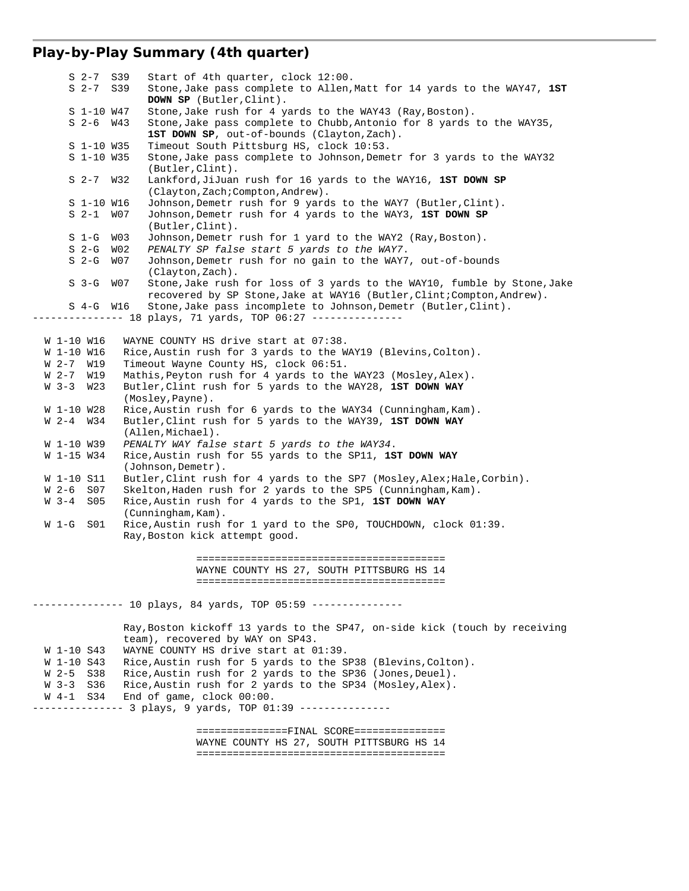## **Play-by-Play Summary (4th quarter)**

 S 2-7 S39 Start of 4th quarter, clock 12:00. S 2-7 S39 Stone,Jake pass complete to Allen,Matt for 14 yards to the WAY47, **1ST DOWN SP** (Butler,Clint). S 1-10 W47 Stone,Jake rush for 4 yards to the WAY43 (Ray,Boston). S 2-6 W43 Stone,Jake pass complete to Chubb,Antonio for 8 yards to the WAY35, 1ST DOWN SP, out-of-bounds (Clayton, Zach). S 1-10 W35 Timeout South Pittsburg HS, clock 10:53. Stone, Jake pass complete to Johnson, Demetr for 3 yards to the WAY32 (Butler,Clint). S 2-7 W32 Lankford,JiJuan rush for 16 yards to the WAY16, **1ST DOWN SP** (Clayton,Zach;Compton,Andrew). S 1-10 W16 Johnson, Demetr rush for 9 yards to the WAY7 (Butler, Clint).<br>S 2-1 W07 Johnson, Demetr rush for 4 yards to the WAY3, 1ST DOWN SP Johnson, Demetr rush for 4 yards to the WAY3, 1ST DOWN SP (Butler,Clint). S 1-G W03 Johnson,Demetr rush for 1 yard to the WAY2 (Ray,Boston). S 2-G W02 *PENALTY SP false start 5 yards to the WAY7*. S 2-G W07 Johnson,Demetr rush for no gain to the WAY7, out-of-bounds (Clayton,Zach). S 3-G W07 Stone,Jake rush for loss of 3 yards to the WAY10, fumble by Stone,Jake recovered by SP Stone,Jake at WAY16 (Butler,Clint;Compton,Andrew). S 4-G W16 Stone,Jake pass incomplete to Johnson,Demetr (Butler,Clint). -------------- 18 plays, 71 yards, TOP 06:27 --------------- W 1-10 W16 WAYNE COUNTY HS drive start at 07:38. W 1-10 W16 Rice,Austin rush for 3 yards to the WAY19 (Blevins,Colton). W 2-7 W19 Timeout Wayne County HS, clock 06:51. W 2-7 W19 Mathis,Peyton rush for 4 yards to the WAY23 (Mosley,Alex). W 3-3 W23 Butler,Clint rush for 5 yards to the WAY28, **1ST DOWN WAY** (Mosley,Payne). W 1-10 W28 Rice, Austin rush for 6 yards to the WAY34 (Cunningham, Kam). W 2-4 W34 Butler,Clint rush for 5 yards to the WAY39, **1ST DOWN WAY** (Allen,Michael). W 1-10 W39 *PENALTY WAY false start 5 yards to the WAY34*. W 1-15 W34 Rice,Austin rush for 55 yards to the SP11, **1ST DOWN WAY** (Johnson,Demetr). W 1-10 S11 Butler, Clint rush for 4 yards to the SP7 (Mosley, Alex; Hale, Corbin). W 2-6 S07 Skelton, Haden rush for 2 yards to the SP5 (Cunningham, Kam). W 3-4 S05 Rice,Austin rush for 4 yards to the SP1, **1ST DOWN WAY** (Cunningham,Kam). W 1-G S01 Rice,Austin rush for 1 yard to the SP0, TOUCHDOWN, clock 01:39. Ray,Boston kick attempt good. ========================================= WAYNE COUNTY HS 27, SOUTH PITTSBURG HS 14 ========================================= -------------- 10 plays, 84 yards, TOP 05:59 --------------- Ray,Boston kickoff 13 yards to the SP47, on-side kick (touch by receiving team), recovered by WAY on SP43. W 1-10 S43 WAYNE COUNTY HS drive start at 01:39. W 1-10 S43 Rice,Austin rush for 5 yards to the SP38 (Blevins,Colton). W 2-5 S38 Rice, Austin rush for 2 yards to the SP36 (Jones, Deuel). W 3-3 S36 Rice,Austin rush for 2 yards to the SP34 (Mosley,Alex). W 4-1 S34 End of game, clock 00:00. --------------- 3 plays, 9 yards, TOP 01:39 --------------- ===============FINAL SCORE=============== WAYNE COUNTY HS 27, SOUTH PITTSBURG HS 14

=========================================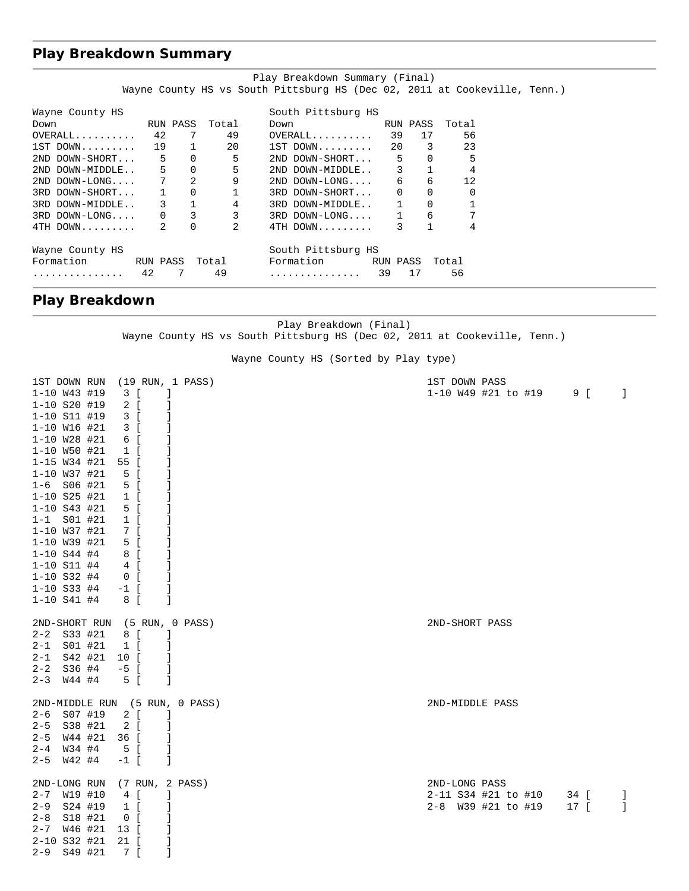## **Play Breakdown Summary**

|                   |    |                          |                | Play Breakdown Summary (Final)                                            |              |              |       |  |
|-------------------|----|--------------------------|----------------|---------------------------------------------------------------------------|--------------|--------------|-------|--|
|                   |    |                          |                | Wayne County HS vs South Pittsburg HS (Dec 02, 2011 at Cookeville, Tenn.) |              |              |       |  |
| Wayne County HS   |    |                          |                | South Pittsburg HS                                                        |              |              |       |  |
| Down<br>RUN PASS  |    |                          | Total          | Down                                                                      |              | RUN PASS     | Total |  |
| $OVERALL$ 42      |    | 7                        | 49             | $OVERALL$ 39                                                              |              | 17           | 56    |  |
| $1ST$ DOWN $19$   |    | 1                        | 20             | $1ST$ DOWN 20                                                             |              | 3            | 23    |  |
| 2ND DOWN-SHORT    |    | $\Omega$<br>$5^{\circ}$  | 5              | 2ND DOWN-SHORT                                                            | 5            | $\Omega$     | 5     |  |
| 2ND DOWN-MIDDLE   |    | $5^{\circ}$<br>$\Omega$  | 5              | 2ND DOWN-MIDDLE 3                                                         |              | $\mathbf{1}$ |       |  |
| $2ND$ $DOWN-LONG$ |    | 7<br>2                   | 9              | $2ND$ $DOWN-LONG$                                                         |              | 6<br>6       | 12    |  |
| 3RD DOWN-SHORT    |    | $\mathbf 0$<br>$1 \quad$ |                | 3RD DOWN-SHORT                                                            | $\mathbf{0}$ | 0            |       |  |
| 3RD DOWN-MIDDLE   |    | $3^{\circ}$              | 4              | 3RD DOWN-MIDDLE                                                           |              | $\mathbf 0$  |       |  |
| 3RD DOWN-LONG     |    | 3                        | 3              | 3RD DOWN-LONG                                                             |              | 6            |       |  |
| 4TH DOWN          |    | $\Omega$                 | $\mathfrak{D}$ | 4TH DOWN                                                                  |              |              | 4     |  |
| Wayne County HS   |    |                          |                | South Pittsburg HS                                                        |              |              |       |  |
| Formation         |    | RUN PASS  Total          |                | Formation RUN PASS                                                        |              |              | Total |  |
|                   | 42 |                          | 49             |                                                                           | 39           | 17           | 56    |  |

# **Play Breakdown**

Play Breakdown (Final) Wayne County HS vs South Pittsburg HS (Dec 02, 2011 at Cookeville, Tenn.)

Wayne County HS (Sorted by Play type)

| 1ST DOWN RUN     |         |               |                    |                   |    | (19 RUN, 1 PASS)               | 1ST DOWN PASS               |    |
|------------------|---------|---------------|--------------------|-------------------|----|--------------------------------|-----------------------------|----|
| $1 - 10$ W43 #19 |         |               | 3 [                |                   |    |                                | 1-10 W49 #21 to #19<br>9 [  | -1 |
| 1-10 S20 #19     |         |               | 2 [                |                   |    |                                |                             |    |
| 1-10 S11 #19     |         |               | 3 [                |                   |    |                                |                             |    |
| $1 - 10$ W16 #21 |         |               | 3 [                |                   | 1  |                                |                             |    |
| $1 - 10$ W28 #21 |         |               | 6 [                |                   |    |                                |                             |    |
| 1-10 W50 #21     |         |               | $1 \left[ \right]$ |                   |    |                                |                             |    |
| 1-15 W34 #21     |         |               | 55 [               |                   |    |                                |                             |    |
| 1-10 W37 #21     |         |               | 5 [                |                   |    |                                |                             |    |
| $1-6$ S06 #21    |         |               | 5 [                |                   | J  |                                |                             |    |
| 1-10 S25 #21     |         |               | $1 \left[ \right]$ |                   |    |                                |                             |    |
| $1 - 10$ S43 #21 |         |               | 5 [                |                   |    |                                |                             |    |
| $1 - 1$          | S01 #21 |               | $1 \left[ \right]$ |                   |    |                                |                             |    |
| 1-10 W37 #21     |         |               | 7 [                |                   |    |                                |                             |    |
| 1-10 W39 #21     |         |               | 5 [                |                   | 1  |                                |                             |    |
| $1 - 10 S44 #4$  |         |               | 8 [                |                   |    |                                |                             |    |
| $1 - 10$ S11 #4  |         |               | 4 [                |                   | J  |                                |                             |    |
| $1 - 10$ S32 #4  |         |               | $0$ [              |                   | 1  |                                |                             |    |
| $1 - 10$ S33 #4  |         |               | $-1$ [             |                   | 1  |                                |                             |    |
| $1 - 10 S41 #4$  |         |               | 8 [                |                   | 1  |                                |                             |    |
|                  |         |               |                    |                   |    |                                |                             |    |
|                  |         | 2ND-SHORT RUN |                    |                   |    | (5 RUN, 0 PASS)                | 2ND-SHORT PASS              |    |
| $2 - 2$ S33 #21  |         |               | 8 [                |                   | -1 |                                |                             |    |
| 2-1              | S01 #21 |               | $1 \left[ \right]$ |                   | 1  |                                |                             |    |
| $2 - 1$          | S42 #21 |               | 10 [               |                   | 1  |                                |                             |    |
| $2 - 2$          | S36 #4  |               | $-5$ [             |                   |    |                                |                             |    |
| $2 - 3$          | W44 #4  |               | 5 [                |                   | 1  |                                |                             |    |
|                  |         |               |                    |                   |    |                                |                             |    |
|                  |         |               |                    |                   |    | 2ND-MIDDLE RUN (5 RUN, 0 PASS) | 2ND-MIDDLE PASS             |    |
| $2 - 6$          | S07 #19 |               | 2 [                |                   | -1 |                                |                             |    |
| $2 - 5$          | S38 #21 |               | 2 [                |                   |    |                                |                             |    |
| $2 - 5$          | W44 #21 |               | 36 [               |                   |    |                                |                             |    |
| $2 - 4$          | W34 #4  |               | 5 [                |                   | J  |                                |                             |    |
| $2 - 5$          | W42 #4  |               | $-1$ [             |                   | J  |                                |                             |    |
|                  |         |               |                    |                   |    |                                |                             |    |
| 2ND-LONG RUN     |         |               |                    | $(7$ RUN, 2 PASS) |    |                                | 2ND-LONG PASS               |    |
| $2 - 7$          | W19 #10 |               | 4 [                |                   | J. |                                | 2-11 S34 #21 to #10<br>34 [ | J. |
| $2 - 9$          | S24 #19 |               | $1 \left[ \right]$ |                   | 1  |                                | 2-8 W39 #21 to #19<br>17 [  | -1 |
| $2 - 8$          | S18 #21 |               | $0$ [              |                   |    |                                |                             |    |
| $2 - 7$          | W46 #21 |               | 13 [               |                   |    |                                |                             |    |
| 2-10 S32 #21     |         |               | 21 [               |                   |    |                                |                             |    |
| $2 - 9$          | S49 #21 |               | 7 <b>[</b>         |                   | 1  |                                |                             |    |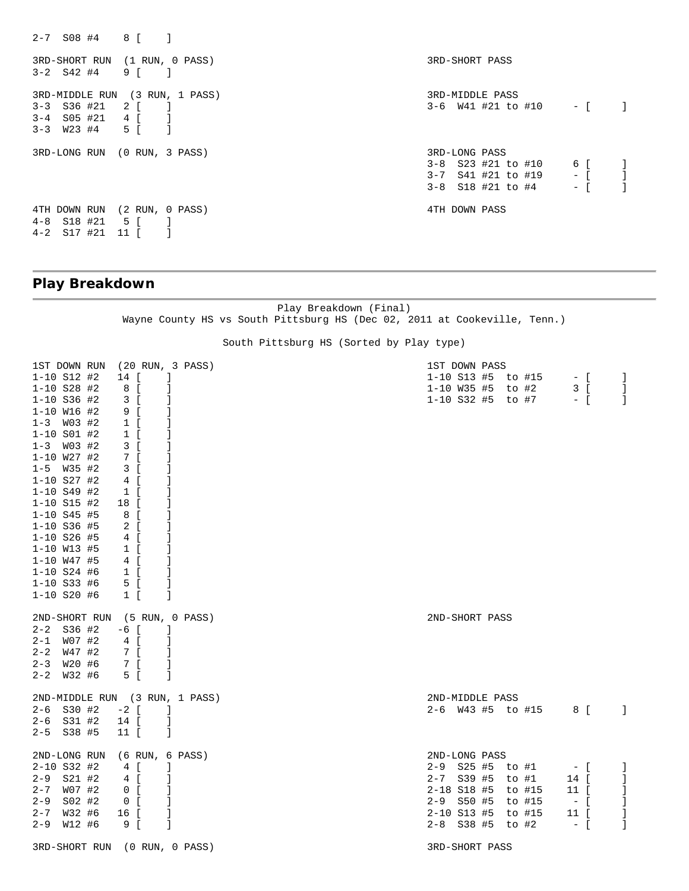2-7 S08 #4 8 [ ] 3RD-SHORT RUN (1 RUN, 0 PASS) 3RD-SHORT PASS 3-2 S42 #4 9 [ ] 3RD-MIDDLE RUN (3 RUN, 1 PASS) 3RD-MIDDLE PASS 3-6 W41 #21 to #10 - [ ] 3-4 S05 #21 4 [ ] 3-3 W23 #4 5 [ ] 3RD-LONG RUN (0 RUN, 3 PASS) 3RD-LONG PASS 3-8 S23 #21 to #10 6 [ ]  $3-7$  S41 #21 to #19  $-$  [ ]  $3-8$  S18 #21 to #4 - [ ] 4TH DOWN RUN (2 RUN, 0 PASS) 4TH DOWN PASS 4-8 S18 #21 5 [ ] 4-2 S17 #21 11 [ ]

## **Play Breakdown**

Play Breakdown (Final) Wayne County HS vs South Pittsburg HS (Dec 02, 2011 at Cookeville, Tenn.)

#### South Pittsburg HS (Sorted by Play type)

| 1ST DOWN RUN     |        |                          | (20 RUN, 3 PASS)               | 1ST DOWN PASS        |  |                   |        |       |              |
|------------------|--------|--------------------------|--------------------------------|----------------------|--|-------------------|--------|-------|--------------|
| $1 - 10 S12 #2$  |        | 14 [                     | -1                             | $1-10$ S13 #5 to #15 |  |                   |        | $-$ [ | -1           |
| $1 - 10$ S28 #2  |        | 8 [                      | -1                             | 1-10 W35 #5          |  | to #2             |        | 3 [   | -1           |
| $1 - 10$ S36 #2  |        | 3 [                      | 1                              |                      |  | 1-10 S32 #5 to #7 | $-$ [  |       | -1           |
| $1 - 10$ W16 #2  |        | 9 [                      | $\Box$                         |                      |  |                   |        |       |              |
| $1 - 3$ W03 #2   |        | $1 \left[ \right]$       | -1                             |                      |  |                   |        |       |              |
| $1 - 10$ S01 #2  |        | $1 \left[ \right]$       |                                |                      |  |                   |        |       |              |
| $1 - 3$ W03 #2   |        | 3 [                      | -1                             |                      |  |                   |        |       |              |
| $1 - 10$ W27 #2  |        | 7 [                      | J.                             |                      |  |                   |        |       |              |
| $1 - 5$ W35 #2   |        | 3 [                      | $\mathbf{1}$                   |                      |  |                   |        |       |              |
| $1 - 10$ S27 #2  |        | 4 [                      | -1                             |                      |  |                   |        |       |              |
| $1 - 10 S49$ #2  |        | $1 \left[ \right]$       | -1                             |                      |  |                   |        |       |              |
| $1 - 10$ S15 #2  |        | 18 [                     | 1                              |                      |  |                   |        |       |              |
| $1 - 10 S45 \#5$ |        | 8 I                      |                                |                      |  |                   |        |       |              |
| 1-10 S36 #5      |        | $2 \lfloor$              | -1                             |                      |  |                   |        |       |              |
| $1 - 10$ S26 #5  |        | 4 [                      | $\mathbf{1}$                   |                      |  |                   |        |       |              |
| $1 - 10$ W13 #5  |        | $1 \left[ \right]$       | -1                             |                      |  |                   |        |       |              |
| $1 - 10$ W47 #5  |        | 4 [                      | -1                             |                      |  |                   |        |       |              |
| $1 - 10$ S24 #6  |        | $1 \Gamma$               | -1                             |                      |  |                   |        |       |              |
| $1 - 10$ S33 #6  |        | 5 [                      | 1                              |                      |  |                   |        |       |              |
| $1 - 10$ S20 #6  |        | $1 \mid$                 | 1                              |                      |  |                   |        |       |              |
|                  |        |                          | 2ND-SHORT RUN (5 RUN, 0 PASS)  | 2ND-SHORT PASS       |  |                   |        |       |              |
| $2 - 2$ S36 #2   |        | -6 [                     | $\perp$                        |                      |  |                   |        |       |              |
| $2 - 1$ W07 #2   |        | $4 \left[$               | 1                              |                      |  |                   |        |       |              |
| $2 - 2$          | W47 #2 | 7 [                      | $\Box$                         |                      |  |                   |        |       |              |
| $2 - 3$ $W20$ #6 |        | 7 [                      | -1                             |                      |  |                   |        |       |              |
| $2 - 2$ W32 #6   |        | 5 [                      | 1                              |                      |  |                   |        |       |              |
|                  |        |                          | 2ND-MIDDLE RUN (3 RUN, 1 PASS) | 2ND-MIDDLE PASS      |  |                   |        |       |              |
| $2-6$ S30 #2     |        | $-2$ [<br>$\blacksquare$ |                                | 2-6 W43 #5 to #15    |  |                   | 8 [    |       | $\Box$       |
| $2-6$ S31 #2     |        | 14 [                     | 1                              |                      |  |                   |        |       |              |
| $2-5$ $S38$ #5   |        | 11 [                     | - 1                            |                      |  |                   |        |       |              |
| 2ND-LONG RUN     |        | (6 RUN, 6 PASS)          |                                | 2ND-LONG PASS        |  |                   |        |       |              |
| $2 - 10$ S32 #2  |        | 4 [                      | -1                             | 2-9 S25 #5 to #1     |  |                   | $-$ [  |       | -1           |
| $2-9$ $S21$ #2   |        | 4 [                      | -1                             | 2-7 S39 #5 to #1     |  |                   | 14 [   |       | -1           |
| $2 - 7$          | W07 #2 | 0 <sub>0</sub>           | -1                             | $2 - 18$ S18 #5      |  | to #15            | 11 [   |       | $\mathbf{1}$ |
| $2 - 9$          | S02 #2 | $0$ [                    | -1                             | 2-9 S50 #5           |  | to #15            | $-$ [  |       | -1           |
| $2 - 7$ W32 #6   |        | 16 [                     | -1                             | 2-10 S13 #5 to #15   |  |                   | $11$ [ |       | -1           |
| $2 - 9$          | W12 #6 | 9 [                      | $\mathbf{1}$                   | 2-8 S38 #5 to #2     |  |                   | $-$ [  |       | $\mathbf{1}$ |
|                  |        |                          | 3RD-SHORT RUN (0 RUN, 0 PASS)  | 3RD-SHORT PASS       |  |                   |        |       |              |